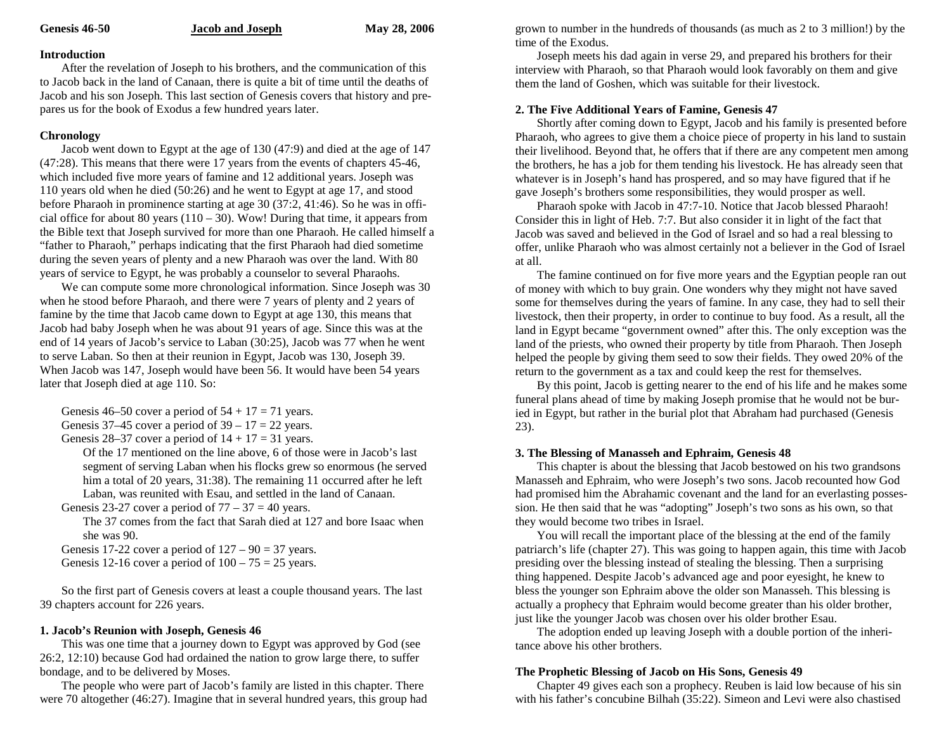**Genesis 46-50**

### **Introduction**

After the revelation of Joseph to his brothers, and the communication of this to Jacob back in the land of Canaa n, there is q uite a bit of ti me until t he deaths of Jacob and his son Josep h. T his last section of Genesis covers that history and prepares us for the book of E xod us a few hun dred years later.

### **Chronology**

Jacob went down to Egypt at the age of 130 (47:9) and died at the age of 147 (47:28). T his mea ns that t here were 17 years from the e vents of chapters 45-46, w hich inclu ded five more years of famine a nd 12 additional years. Joseph was 110 years old when he died (50:26) and he went to Egy pt at age 17, and stood before P haraoh in prominence starting at age 30 (37:2, 41:46). So he was in official office for about 80 years  $(110 - 30)$ . Wow! During that time, it appears from the Bible text t hat Joseph survived for more than one P haraoh. He called himself a "father to Pharaoh," perhaps in dicating that t he first Pharaoh had died someti me d uring the seven years of plenty and a new P haraoh was over the lan d. With 80 years of service to Egy pt, he was probably a counselor to several P haraohs.

We can comp ute some more c hronological i nformation. Since Joseph was 30 when he stood before Pharaoh, and there were 7 years of plenty and 2 years of famine by the time that Jacob came down to Egypt at age 130, this means that Jacob had baby Joseph w hen he was abo ut 91 years of age. Since this was at t he end of 14 years of Jacob's service to Laban (30:25), Jacob was 77 w hen he went to serve Laban. So then at t heir reu nion in Egy pt, Jacob was 130, Joseph 39. When Jacob was 147, Joseph would have been 56. It would have been 54 years later that Joseph died at age 110. So:

Genesis 46–50 cover a period of  $54 + 17 = 71$  years.

```
Genesis 37–45 cover a period of 39 - 17 = 22 years.
```
Genesis 28–37 cover a period of  $14 + 17 = 31$  years.

Of the 17 mentioned on the line above, 6 of those were in Jacob's last segment of serving Laban w hen his flocks grew so enormous (he served him a total of 20 years, 31:38). The remaining 11 occurred after he left Laban, was reunited with Esau, and settled in the land of Canaa n.

Genesis 23-27 cover a period of  $77 - 37 = 40$  years.

The 37 comes from the fact that Sarah died at 127 and bore Isaac when she was 90.

Genesis 17-22 cover a period of  $127 - 90 = 37$  years. Genesis 12-16 cover a period of  $100 - 75 = 25$  years.

So the first part of Genesis covers at least a couple thousand years. The last 39 chapters account for 226 years.

### **1. Jacob's Reunion with Joseph, Genesis 46**

This was one ti me that a journey do wn to Egy pt was approved by God (see 26:2, 12:10) beca use God had ordained the nation to grow large there, to suffer bo n dage, and to be deli vered by Moses.

T he people w ho were part of Jacob's family are listed in this chapter. T here were 70 altogether (46:27). Imagine that in several hundred years, this group had grown to nu mber in the hun dreds of thousan ds (as much as 2 to 3 million!) by the time of the Exodus.

Joseph meets his dad again in verse 29, and prepared his brothers for their interview with P haraoh, so that P haraoh would look favorably on them and give them the land of Goshen, w hich was suitable for their livestock.

## **2. The Five Additional Years of Famine, Genesis 47**

Shortly after coming do wn to Egy pt, Jacob and his family is presented before P haraoh, w ho agrees to give them a c hoice piece of property in his land to sustain their li veli hood. Beyond that, he offers that if there are a ny competent men among the brothers, he has a job for them ten ding his li vestock. He has alrea dy seen that w hatever is in Josep h's hand has prospered, and so may have figured that if he gave Josep h's brothers some respo nsibilities, they would prosper as well.

Pharaoh spo ke with Jacob in 47:7-10. Notice that Jacob blessed Pharaoh! Consider this in light of Heb. 7:7. B ut also consider it in light of the fact t hat Jacob was saved and believed in the God of Israel and so had a real blessing to offer, unli ke Pharaoh who was almost certainly not a believer in the God of Israel at all.

T he famine continued on for five more years and the Egy ptian people ran out of money with w hich to b uy grain. O ne won ders w hy they might not have saved some for themselves d uring the years of famine. In any case, they had to sell t heir livestock, then their property, in order to continue to b uy food. As a result, all t he land in Egy pt beca me "govern ment owned" after this. The only exce ption was the land of the priests, w ho o w ned their property by title from P haraoh. T hen Joseph helped the people by giving them seed to sow their fields. T hey owed 20% of the return to the govern ment as a tax and could keep the rest for themselves.

By this point, Jacob is getting nearer to the e nd of his life a nd he makes some funeral plans ahead of time by making Joseph promise that he would not be buried in Egy pt, b ut rather in the b urial plot t hat A braham had p urchased (Genesis 23).

## **3. T he Blessing of M a n asseh and Ephraim, Genesis 48**

T his chapter is abo ut t he blessing that Jacob bestowed on his two gran dsons Manasseh and E p hraim, w ho were Josep h's two sons. Jacob recounted how God had promised him the Abrahamic covenant and the land for an everlasting possession. He then said that he was "adopting" Josep h's two sons as his ow n, so that they would become two tribes in Israel.

You will recall t he important place of the blessing at t he e nd of the family patriarch's life (chapter 27). T his was going to happen again, this ti me with Jacob presiding over the blessing instead of stealing the blessing. T hen a surprising thing happened. Despite Jacob's ad vanced age a nd poor eyesight, he knew to bless the younger son E p hraim abo ve the older son Manasseh. T his blessing is actually a prop hecy that E p hraim would become greater than his older brother, just li ke the younger Jacob was chosen over his older brother Esau.

T he adoption en ded up lea ving Joseph with a do u ble portion of the inheritance above his other brothers.

# **The Prophetic Blessing of Jacob on His Sons, Genesis 49**

Chapter 49 gives each son a prop hec y. Reu ben is laid low beca use of his sin with his father's concubine Bil hah (35:22). Simeon and Levi were also chastised